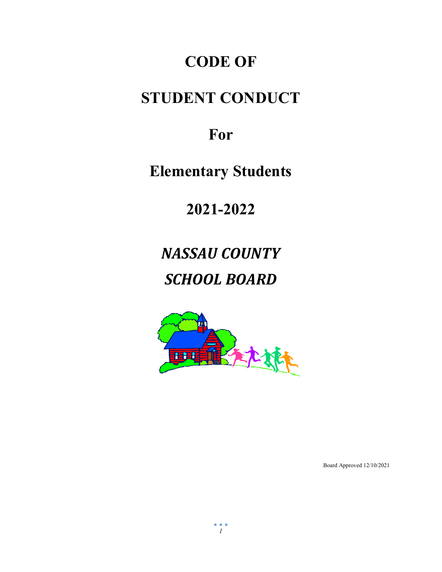# **CODE OF**

# **STUDENT CONDUCT**

# **For**

**Elementary Students**

**2021-2022**

*NASSAU COUNTY SCHOOL BOARD*



Board Approved 12/10/2021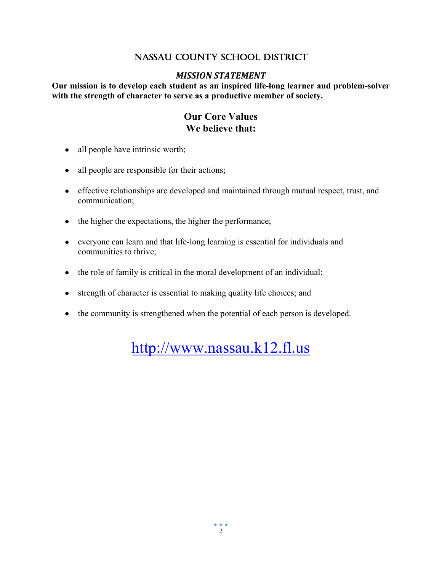## NASSAU COUNTY SCHOOL DISTRICT

## *MISSION STATEMENT*

**Our mission is to develop each student as an inspired life-long learner and problem-solver with the strength of character to serve as a productive member of society.**

## **Our Core Values We believe that:**

- all people have intrinsic worth;
- all people are responsible for their actions;
- effective relationships are developed and maintained through mutual respect, trust, and communication;
- the higher the expectations, the higher the performance;
- everyone can learn and that life-long learning is essential for individuals and communities to thrive;
- the role of family is critical in the moral development of an individual;
- strength of character is essential to making quality life choices; and
- the community is strengthened when the potential of each person is developed.

[http://www.nassau.k12.fl.us](http://www.nassau.k12.fl.us/)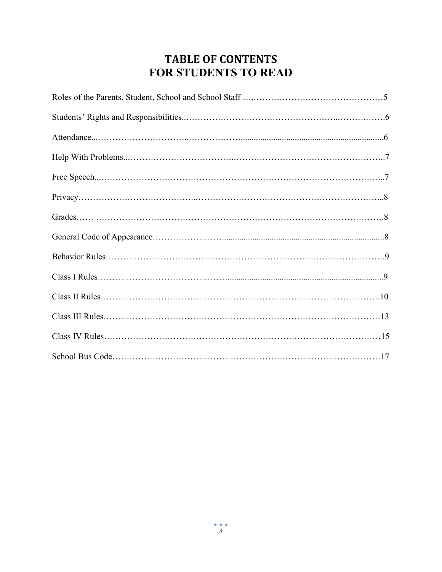## **TABLE OF CONTENTS FOR STUDENTS TO READ**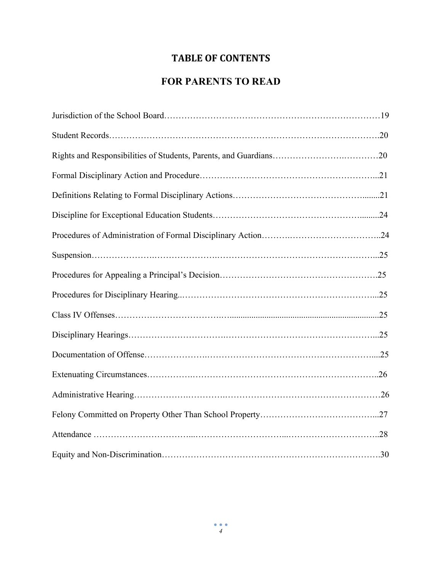## **TABLE OF CONTENTS**

## **FOR PARENTS TO READ**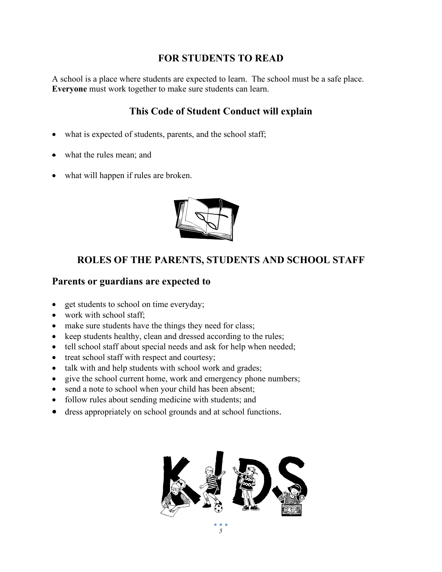## **FOR STUDENTS TO READ**

A school is a place where students are expected to learn. The school must be a safe place. **Everyone** must work together to make sure students can learn.

## **This Code of Student Conduct will explain**

- what is expected of students, parents, and the school staff;
- what the rules mean; and
- what will happen if rules are broken.



## **ROLES OF THE PARENTS, STUDENTS AND SCHOOL STAFF**

## **Parents or guardians are expected to**

- get students to school on time everyday;
- work with school staff;
- make sure students have the things they need for class;
- keep students healthy, clean and dressed according to the rules;
- tell school staff about special needs and ask for help when needed;
- treat school staff with respect and courtesy;
- talk with and help students with school work and grades;
- give the school current home, work and emergency phone numbers;
- send a note to school when your child has been absent;
- follow rules about sending medicine with students; and
- dress appropriately on school grounds and at school functions.

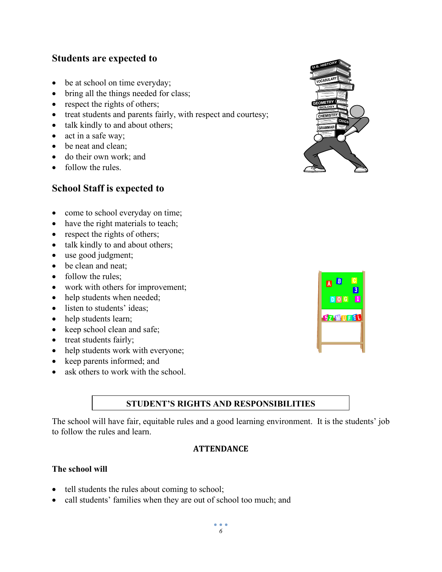## **Students are expected to**

- be at school on time everyday;
- bring all the things needed for class;
- respect the rights of others;
- treat students and parents fairly, with respect and courtesy;
- talk kindly to and about others;
- act in a safe way;
- be neat and clean;
- do their own work; and
- follow the rules.

## **School Staff is expected to**



- have the right materials to teach;
- respect the rights of others;
- talk kindly to and about others;
- use good judgment;
- be clean and neat;
- follow the rules:
- work with others for improvement;
- help students when needed;
- listen to students' ideas;
- help students learn;
- keep school clean and safe;
- treat students fairly;
- help students work with everyone;
- keep parents informed; and
- ask others to work with the school.

## **STUDENT'S RIGHTS AND RESPONSIBILITIES**

The school will have fair, equitable rules and a good learning environment. It is the students' job to follow the rules and learn.

#### **ATTENDANCE**

#### **The school will**

- tell students the rules about coming to school;
- call students' families when they are out of school too much; and



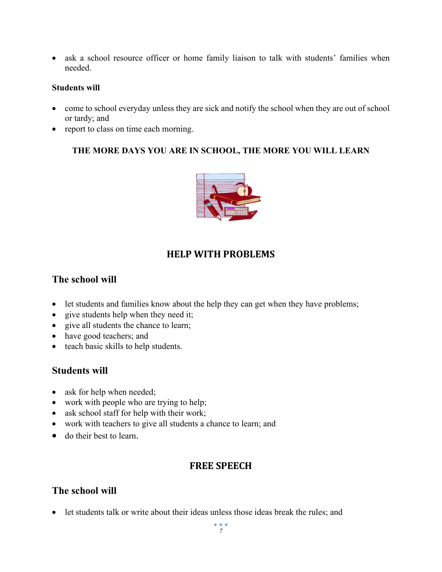• ask a school resource officer or home family liaison to talk with students' families when needed.

#### **Students will**

- come to school everyday unless they are sick and notify the school when they are out of school or tardy; and
- report to class on time each morning.

## **THE MORE DAYS YOU ARE IN SCHOOL, THE MORE YOU WILL LEARN**



## **HELP WITH PROBLEMS**

## **The school will**

- let students and families know about the help they can get when they have problems;
- give students help when they need it;
- give all students the chance to learn;
- have good teachers; and
- teach basic skills to help students.

## **Students will**

- ask for help when needed;
- work with people who are trying to help;
- ask school staff for help with their work;
- work with teachers to give all students a chance to learn; and
- do their best to learn.

## **FREE SPEECH**

## **The school will**

• let students talk or write about their ideas unless those ideas break the rules; and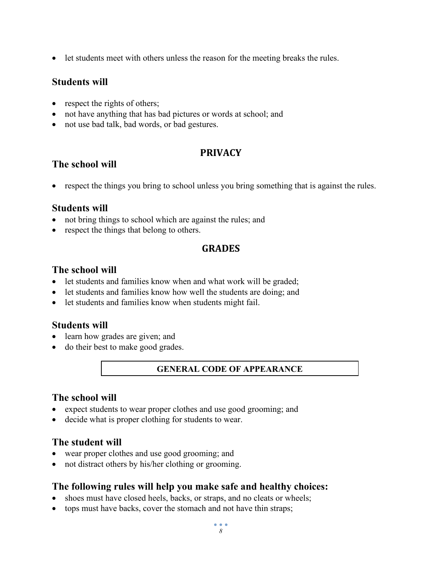• let students meet with others unless the reason for the meeting breaks the rules.

## **Students will**

- respect the rights of others;
- not have anything that has bad pictures or words at school; and
- not use bad talk, bad words, or bad gestures.

## **PRIVACY**

## **The school will**

• respect the things you bring to school unless you bring something that is against the rules.

## **Students will**

- not bring things to school which are against the rules; and
- respect the things that belong to others.

## **GRADES**

## **The school will**

- let students and families know when and what work will be graded;
- let students and families know how well the students are doing; and
- let students and families know when students might fail.

## **Students will**

- learn how grades are given; and
- do their best to make good grades.

## **GENERAL CODE OF APPEARANCE**

## **The school will**

- expect students to wear proper clothes and use good grooming; and
- decide what is proper clothing for students to wear.

## **The student will**

- wear proper clothes and use good grooming; and
- not distract others by his/her clothing or grooming.

## **The following rules will help you make safe and healthy choices:**

- shoes must have closed heels, backs, or straps, and no cleats or wheels;
- tops must have backs, cover the stomach and not have thin straps;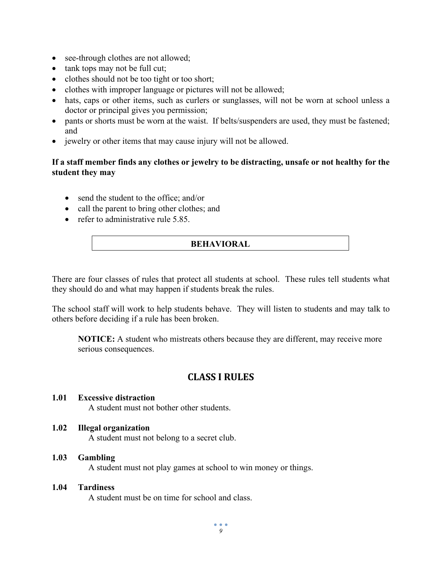- see-through clothes are not allowed;
- tank tops may not be full cut;
- clothes should not be too tight or too short;
- clothes with improper language or pictures will not be allowed;
- hats, caps or other items, such as curlers or sunglasses, will not be worn at school unless a doctor or principal gives you permission;
- pants or shorts must be worn at the waist. If belts/suspenders are used, they must be fastened; and
- jewelry or other items that may cause injury will not be allowed.

#### **If a staff member finds any clothes or jewelry to be distracting, unsafe or not healthy for the student they may**

- send the student to the office; and/or
- call the parent to bring other clothes; and
- refer to administrative rule 5.85.

#### **BEHAVIORAL**

There are four classes of rules that protect all students at school. These rules tell students what they should do and what may happen if students break the rules.

The school staff will work to help students behave. They will listen to students and may talk to others before deciding if a rule has been broken.

**NOTICE:** A student who mistreats others because they are different, may receive more serious consequences.

## **CLASS I RULES**

#### **1.01 Excessive distraction**

A student must not bother other students.

#### **1.02 Illegal organization**

A student must not belong to a secret club.

#### **1.03 Gambling**

A student must not play games at school to win money or things.

#### **1.04 Tardiness**

A student must be on time for school and class.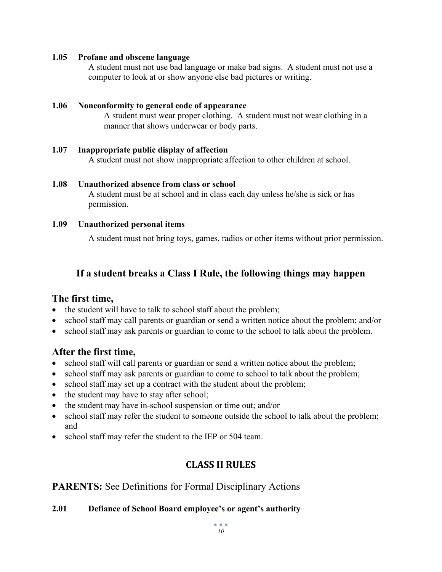#### **1.05 Profane and obscene language**

A student must not use bad language or make bad signs. A student must not use a computer to look at or show anyone else bad pictures or writing.

#### **1.06 Nonconformity to general code of appearance**

A student must wear proper clothing. A student must not wear clothing in a manner that shows underwear or body parts.

#### **1.07 Inappropriate public display of affection**

A student must not show inappropriate affection to other children at school.

## **1.08 Unauthorized absence from class or school**

A student must be at school and in class each day unless he/she is sick or has permission.

#### **1.09 Unauthorized personal items**

A student must not bring toys, games, radios or other items without prior permission.

## **If a student breaks a Class I Rule, the following things may happen**

## **The first time,**

- the student will have to talk to school staff about the problem;
- school staff may call parents or guardian or send a written notice about the problem; and/or
- school staff may ask parents or guardian to come to the school to talk about the problem.

## **After the first time,**

- school staff will call parents or guardian or send a written notice about the problem;
- school staff may ask parents or guardian to come to school to talk about the problem;
- school staff may set up a contract with the student about the problem;
- the student may have to stay after school;
- the student may have in-school suspension or time out; and/or
- school staff may refer the student to someone outside the school to talk about the problem; and
- school staff may refer the student to the IEP or 504 team.

## **CLASS II RULES**

## **PARENTS:** See Definitions for Formal Disciplinary Actions

## **2.01 Defiance of School Board employee's or agent's authority**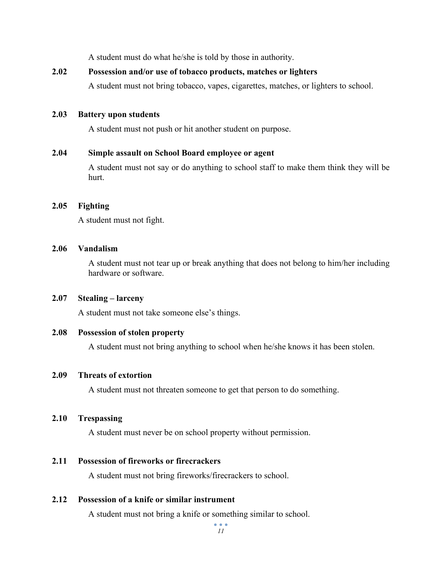A student must do what he/she is told by those in authority.

#### **2.02 Possession and/or use of tobacco products, matches or lighters**

A student must not bring tobacco, vapes, cigarettes, matches, or lighters to school.

#### **2.03 Battery upon students**

A student must not push or hit another student on purpose.

#### **2.04 Simple assault on School Board employee or agent**

A student must not say or do anything to school staff to make them think they will be hurt.

#### **2.05 Fighting**

A student must not fight.

#### **2.06 Vandalism**

A student must not tear up or break anything that does not belong to him/her including hardware or software.

#### **2.07 Stealing – larceny**

A student must not take someone else's things.

#### **2.08 Possession of stolen property**

A student must not bring anything to school when he/she knows it has been stolen.

#### **2.09 Threats of extortion**

A student must not threaten someone to get that person to do something.

#### **2.10 Trespassing**

A student must never be on school property without permission.

#### **2.11 Possession of fireworks or firecrackers**

A student must not bring fireworks/firecrackers to school.

#### **2.12 Possession of a knife or similar instrument**

A student must not bring a knife or something similar to school.

 $\bullet$   $\bullet$   $\bullet$ *11*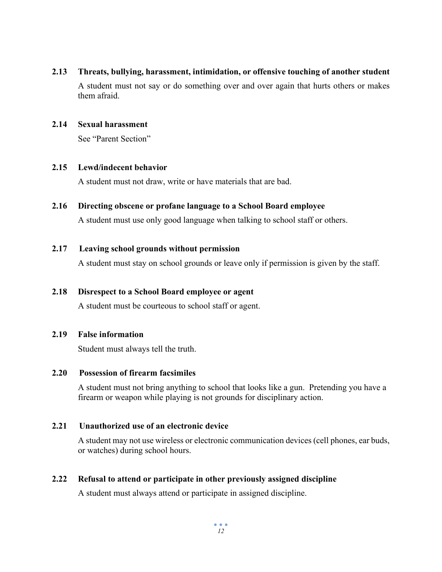#### **2.13 Threats, bullying, harassment, intimidation, or offensive touching of another student**

A student must not say or do something over and over again that hurts others or makes them afraid.

#### **2.14 Sexual harassment**

See "Parent Section"

#### **2.15 Lewd/indecent behavior**

A student must not draw, write or have materials that are bad.

#### **2.16 Directing obscene or profane language to a School Board employee**

A student must use only good language when talking to school staff or others.

#### **2.17 Leaving school grounds without permission**

A student must stay on school grounds or leave only if permission is given by the staff.

#### **2.18 Disrespect to a School Board employee or agent**

A student must be courteous to school staff or agent.

#### **2.19 False information**

Student must always tell the truth.

#### **2.20 Possession of firearm facsimiles**

A student must not bring anything to school that looks like a gun. Pretending you have a firearm or weapon while playing is not grounds for disciplinary action.

#### **2.21 Unauthorized use of an electronic device**

A student may not use wireless or electronic communication devices (cell phones, ear buds, or watches) during school hours.

#### **2.22 Refusal to attend or participate in other previously assigned discipline**

A student must always attend or participate in assigned discipline.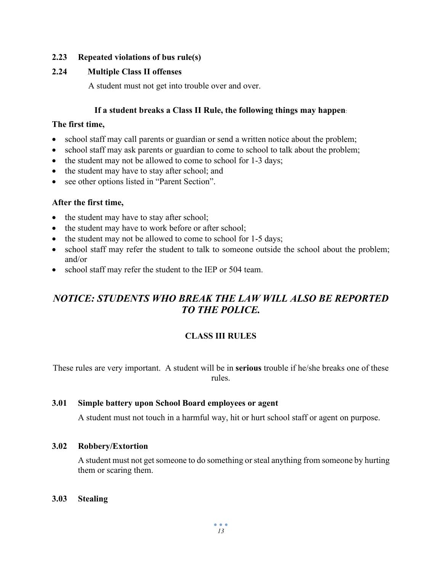#### **2.23 Repeated violations of bus rule(s)**

#### **2.24 Multiple Class II offenses**

A student must not get into trouble over and over.

#### **If a student breaks a Class II Rule, the following things may happen**:

#### **The first time,**

- school staff may call parents or guardian or send a written notice about the problem;
- school staff may ask parents or guardian to come to school to talk about the problem;
- the student may not be allowed to come to school for 1-3 days;
- the student may have to stay after school; and
- see other options listed in "Parent Section".

#### **After the first time,**

- the student may have to stay after school;
- the student may have to work before or after school;
- the student may not be allowed to come to school for 1-5 days;
- school staff may refer the student to talk to someone outside the school about the problem; and/or
- school staff may refer the student to the IEP or 504 team.

## *NOTICE: STUDENTS WHO BREAK THE LAW WILL ALSO BE REPORTED TO THE POLICE.*

#### **CLASS III RULES**

These rules are very important. A student will be in **serious** trouble if he/she breaks one of these rules.

#### **3.01 Simple battery upon School Board employees or agent**

A student must not touch in a harmful way, hit or hurt school staff or agent on purpose.

#### **3.02 Robbery/Extortion**

A student must not get someone to do something or steal anything from someone by hurting them or scaring them.

**3.03 Stealing**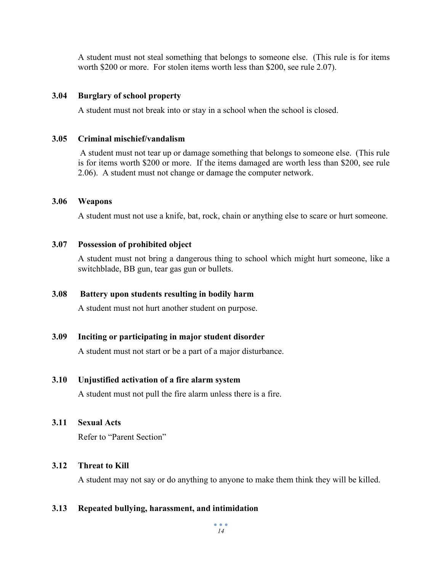A student must not steal something that belongs to someone else. (This rule is for items worth \$200 or more. For stolen items worth less than \$200, see rule 2.07).

#### **3.04 Burglary of school property**

A student must not break into or stay in a school when the school is closed.

#### **3.05 Criminal mischief/vandalism**

A student must not tear up or damage something that belongs to someone else. (This rule is for items worth \$200 or more. If the items damaged are worth less than \$200, see rule 2.06). A student must not change or damage the computer network.

#### **3.06 Weapons**

A student must not use a knife, bat, rock, chain or anything else to scare or hurt someone.

#### **3.07 Possession of prohibited object**

A student must not bring a dangerous thing to school which might hurt someone, like a switchblade, BB gun, tear gas gun or bullets.

#### **3.08 Battery upon students resulting in bodily harm**

A student must not hurt another student on purpose.

#### **3.09 Inciting or participating in major student disorder**

A student must not start or be a part of a major disturbance.

#### **3.10 Unjustified activation of a fire alarm system**

A student must not pull the fire alarm unless there is a fire.

#### **3.11 Sexual Acts**

Refer to "Parent Section"

#### **3.12 Threat to Kill**

A student may not say or do anything to anyone to make them think they will be killed.

#### **3.13 Repeated bullying, harassment, and intimidation**

 $\bullet$   $\bullet$   $\bullet$ *14*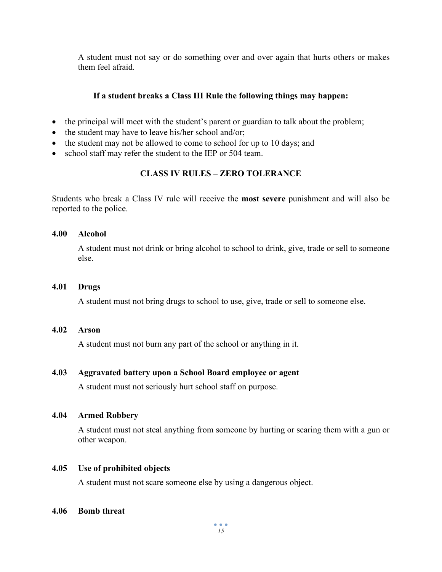A student must not say or do something over and over again that hurts others or makes them feel afraid.

#### **If a student breaks a Class III Rule the following things may happen:**

- the principal will meet with the student's parent or guardian to talk about the problem;
- the student may have to leave his/her school and/or;
- the student may not be allowed to come to school for up to 10 days; and
- school staff may refer the student to the IEP or 504 team.

### **CLASS IV RULES – ZERO TOLERANCE**

Students who break a Class IV rule will receive the **most severe** punishment and will also be reported to the police.

#### **4.00 Alcohol**

A student must not drink or bring alcohol to school to drink, give, trade or sell to someone else.

#### **4.01 Drugs**

A student must not bring drugs to school to use, give, trade or sell to someone else.

#### **4.02 Arson**

A student must not burn any part of the school or anything in it.

#### **4.03 Aggravated battery upon a School Board employee or agent**

A student must not seriously hurt school staff on purpose.

#### **4.04 Armed Robbery**

A student must not steal anything from someone by hurting or scaring them with a gun or other weapon.

#### **4.05 Use of prohibited objects**

A student must not scare someone else by using a dangerous object.

#### **4.06 Bomb threat**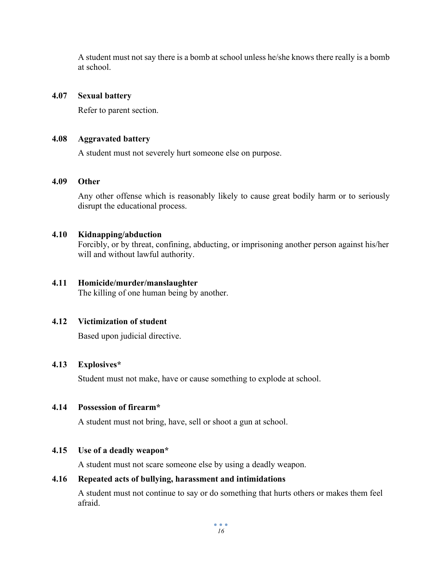A student must not say there is a bomb at school unless he/she knows there really is a bomb at school.

#### **4.07 Sexual battery**

Refer to parent section.

#### **4.08 Aggravated battery**

A student must not severely hurt someone else on purpose.

#### **4.09 Other**

Any other offense which is reasonably likely to cause great bodily harm or to seriously disrupt the educational process.

#### **4.10 Kidnapping/abduction**

Forcibly, or by threat, confining, abducting, or imprisoning another person against his/her will and without lawful authority.

#### **4.11 Homicide/murder/manslaughter**

The killing of one human being by another.

#### **4.12 Victimization of student**

Based upon judicial directive.

#### **4.13 Explosives\***

Student must not make, have or cause something to explode at school.

#### **4.14 Possession of firearm\***

A student must not bring, have, sell or shoot a gun at school.

#### **4.15 Use of a deadly weapon\***

A student must not scare someone else by using a deadly weapon.

#### **4.16 Repeated acts of bullying, harassment and intimidations**

A student must not continue to say or do something that hurts others or makes them feel afraid.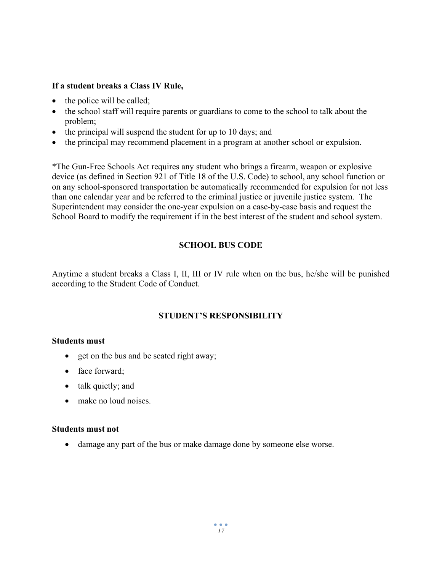#### **If a student breaks a Class IV Rule,**

- the police will be called;
- the school staff will require parents or guardians to come to the school to talk about the problem;
- the principal will suspend the student for up to 10 days; and
- the principal may recommend placement in a program at another school or expulsion.

\*The Gun-Free Schools Act requires any student who brings a firearm, weapon or explosive device (as defined in Section 921 of Title 18 of the U.S. Code) to school, any school function or on any school-sponsored transportation be automatically recommended for expulsion for not less than one calendar year and be referred to the criminal justice or juvenile justice system. The Superintendent may consider the one-year expulsion on a case-by-case basis and request the School Board to modify the requirement if in the best interest of the student and school system.

### **SCHOOL BUS CODE**

Anytime a student breaks a Class I, II, III or IV rule when on the bus, he/she will be punished according to the Student Code of Conduct.

#### **STUDENT'S RESPONSIBILITY**

#### **Students must**

- get on the bus and be seated right away;
- face forward;
- talk quietly; and
- make no loud noises.

#### **Students must not**

• damage any part of the bus or make damage done by someone else worse.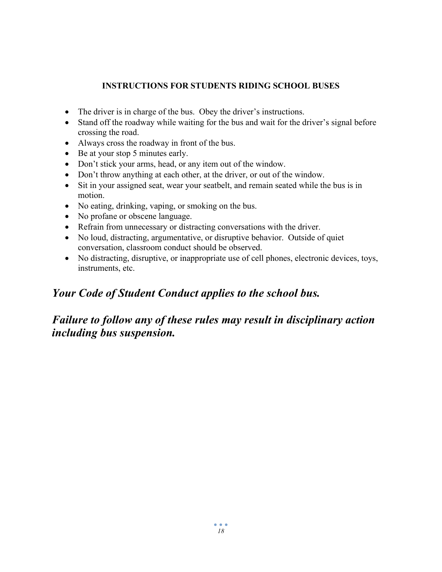### **INSTRUCTIONS FOR STUDENTS RIDING SCHOOL BUSES**

- The driver is in charge of the bus. Obey the driver's instructions.
- Stand off the roadway while waiting for the bus and wait for the driver's signal before crossing the road.
- Always cross the roadway in front of the bus.
- Be at your stop 5 minutes early.
- Don't stick your arms, head, or any item out of the window.
- Don't throw anything at each other, at the driver, or out of the window.
- Sit in your assigned seat, wear your seatbelt, and remain seated while the bus is in motion.
- No eating, drinking, vaping, or smoking on the bus.
- No profane or obscene language.
- Refrain from unnecessary or distracting conversations with the driver.
- No loud, distracting, argumentative, or disruptive behavior. Outside of quiet conversation, classroom conduct should be observed.
- No distracting, disruptive, or inappropriate use of cell phones, electronic devices, toys, instruments, etc.

## *Your Code of Student Conduct applies to the school bus.*

## *Failure to follow any of these rules may result in disciplinary action including bus suspension.*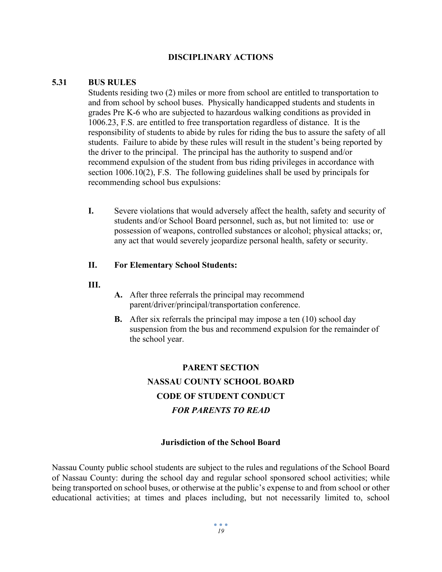#### **DISCIPLINARY ACTIONS**

#### **5.31 BUS RULES**

Students residing two (2) miles or more from school are entitled to transportation to and from school by school buses. Physically handicapped students and students in grades Pre K-6 who are subjected to hazardous walking conditions as provided in 1006.23, F.S. are entitled to free transportation regardless of distance. It is the responsibility of students to abide by rules for riding the bus to assure the safety of all students. Failure to abide by these rules will result in the student's being reported by the driver to the principal. The principal has the authority to suspend and/or recommend expulsion of the student from bus riding privileges in accordance with section 1006.10(2), F.S. The following guidelines shall be used by principals for recommending school bus expulsions:

**I.** Severe violations that would adversely affect the health, safety and security of students and/or School Board personnel, such as, but not limited to: use or possession of weapons, controlled substances or alcohol; physical attacks; or, any act that would severely jeopardize personal health, safety or security.

#### **II. For Elementary School Students:**

- **III.**
- **A.** After three referrals the principal may recommend parent/driver/principal/transportation conference.
- **B.** After six referrals the principal may impose a ten (10) school day suspension from the bus and recommend expulsion for the remainder of the school year.

## **PARENT SECTION NASSAU COUNTY SCHOOL BOARD CODE OF STUDENT CONDUCT** *FOR PARENTS TO READ*

#### **Jurisdiction of the School Board**

Nassau County public school students are subject to the rules and regulations of the School Board of Nassau County: during the school day and regular school sponsored school activities; while being transported on school buses, or otherwise at the public's expense to and from school or other educational activities; at times and places including, but not necessarily limited to, school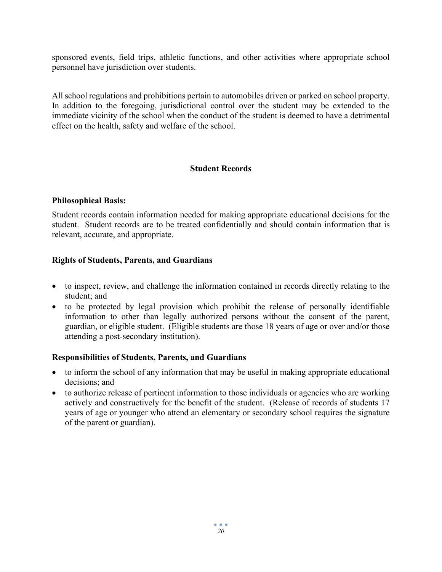sponsored events, field trips, athletic functions, and other activities where appropriate school personnel have jurisdiction over students.

All school regulations and prohibitions pertain to automobiles driven or parked on school property. In addition to the foregoing, jurisdictional control over the student may be extended to the immediate vicinity of the school when the conduct of the student is deemed to have a detrimental effect on the health, safety and welfare of the school.

#### **Student Records**

#### **Philosophical Basis:**

Student records contain information needed for making appropriate educational decisions for the student. Student records are to be treated confidentially and should contain information that is relevant, accurate, and appropriate.

#### **Rights of Students, Parents, and Guardians**

- to inspect, review, and challenge the information contained in records directly relating to the student; and
- to be protected by legal provision which prohibit the release of personally identifiable information to other than legally authorized persons without the consent of the parent, guardian, or eligible student. (Eligible students are those 18 years of age or over and/or those attending a post-secondary institution).

#### **Responsibilities of Students, Parents, and Guardians**

- to inform the school of any information that may be useful in making appropriate educational decisions; and
- to authorize release of pertinent information to those individuals or agencies who are working actively and constructively for the benefit of the student. (Release of records of students 17 years of age or younger who attend an elementary or secondary school requires the signature of the parent or guardian).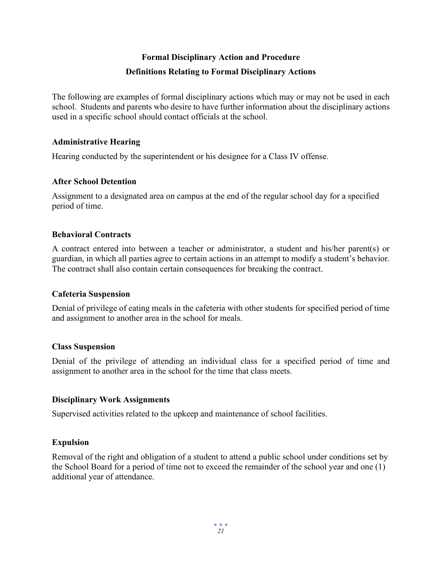## **Formal Disciplinary Action and Procedure Definitions Relating to Formal Disciplinary Actions**

The following are examples of formal disciplinary actions which may or may not be used in each school. Students and parents who desire to have further information about the disciplinary actions used in a specific school should contact officials at the school.

#### **Administrative Hearing**

Hearing conducted by the superintendent or his designee for a Class IV offense.

#### **After School Detention**

Assignment to a designated area on campus at the end of the regular school day for a specified period of time.

#### **Behavioral Contracts**

A contract entered into between a teacher or administrator, a student and his/her parent(s) or guardian, in which all parties agree to certain actions in an attempt to modify a student's behavior. The contract shall also contain certain consequences for breaking the contract.

#### **Cafeteria Suspension**

Denial of privilege of eating meals in the cafeteria with other students for specified period of time and assignment to another area in the school for meals.

#### **Class Suspension**

Denial of the privilege of attending an individual class for a specified period of time and assignment to another area in the school for the time that class meets.

#### **Disciplinary Work Assignments**

Supervised activities related to the upkeep and maintenance of school facilities.

#### **Expulsion**

Removal of the right and obligation of a student to attend a public school under conditions set by the School Board for a period of time not to exceed the remainder of the school year and one (1) additional year of attendance.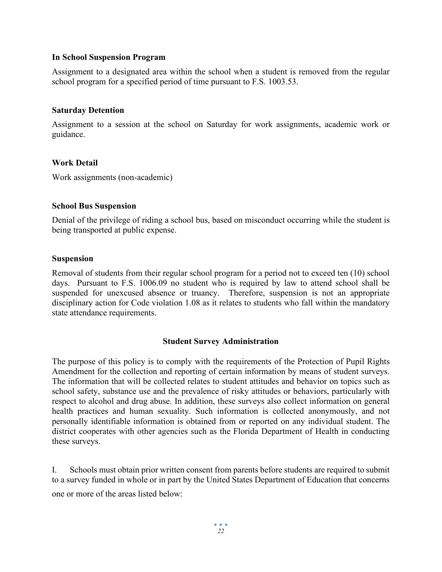#### **In School Suspension Program**

Assignment to a designated area within the school when a student is removed from the regular school program for a specified period of time pursuant to F.S. 1003.53.

#### **Saturday Detention**

Assignment to a session at the school on Saturday for work assignments, academic work or guidance.

#### **Work Detail**

Work assignments (non-academic)

#### **School Bus Suspension**

Denial of the privilege of riding a school bus, based on misconduct occurring while the student is being transported at public expense.

#### **Suspension**

Removal of students from their regular school program for a period not to exceed ten (10) school days. Pursuant to F.S. 1006.09 no student who is required by law to attend school shall be suspended for unexcused absence or truancy. Therefore, suspension is not an appropriate disciplinary action for Code violation 1.08 as it relates to students who fall within the mandatory state attendance requirements.

#### **Student Survey Administration**

The purpose of this policy is to comply with the requirements of the Protection of Pupil Rights Amendment for the collection and reporting of certain information by means of student surveys. The information that will be collected relates to student attitudes and behavior on topics such as school safety, substance use and the prevalence of risky attitudes or behaviors, particularly with respect to alcohol and drug abuse. In addition, these surveys also collect information on general health practices and human sexuality. Such information is collected anonymously, and not personally identifiable information is obtained from or reported on any individual student. The district cooperates with other agencies such as the Florida Department of Health in conducting these surveys.

I. Schools must obtain prior written consent from parents before students are required to submit to a survey funded in whole or in part by the United States Department of Education that concerns one or more of the areas listed below: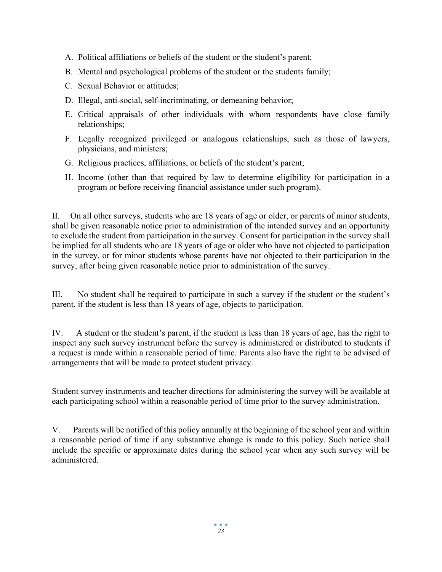- A. Political affiliations or beliefs of the student or the student's parent;
- B. Mental and psychological problems of the student or the students family;
- C. Sexual Behavior or attitudes;
- D. Illegal, anti-social, self-incriminating, or demeaning behavior;
- E. Critical appraisals of other individuals with whom respondents have close family relationships;
- F. Legally recognized privileged or analogous relationships, such as those of lawyers, physicians, and ministers;
- G. Religious practices, affiliations, or beliefs of the student's parent;
- H. Income (other than that required by law to determine eligibility for participation in a program or before receiving financial assistance under such program).

II. On all other surveys, students who are 18 years of age or older, or parents of minor students, shall be given reasonable notice prior to administration of the intended survey and an opportunity to exclude the student from participation in the survey. Consent for participation in the survey shall be implied for all students who are 18 years of age or older who have not objected to participation in the survey, or for minor students whose parents have not objected to their participation in the survey, after being given reasonable notice prior to administration of the survey.

III. No student shall be required to participate in such a survey if the student or the student's parent, if the student is less than 18 years of age, objects to participation.

IV. A student or the student's parent, if the student is less than 18 years of age, has the right to inspect any such survey instrument before the survey is administered or distributed to students if a request is made within a reasonable period of time. Parents also have the right to be advised of arrangements that will be made to protect student privacy.

Student survey instruments and teacher directions for administering the survey will be available at each participating school within a reasonable period of time prior to the survey administration.

V. Parents will be notified of this policy annually at the beginning of the school year and within a reasonable period of time if any substantive change is made to this policy. Such notice shall include the specific or approximate dates during the school year when any such survey will be administered.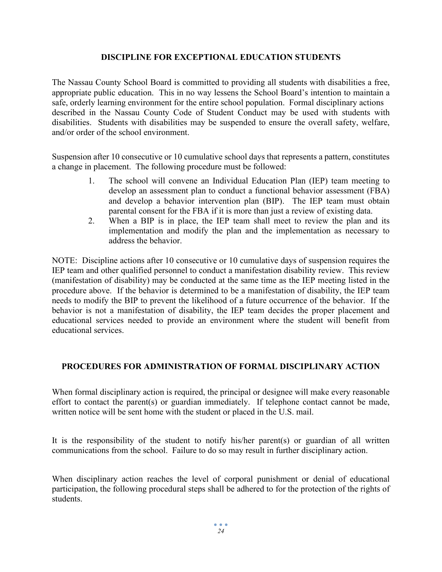#### **DISCIPLINE FOR EXCEPTIONAL EDUCATION STUDENTS**

The Nassau County School Board is committed to providing all students with disabilities a free, appropriate public education. This in no way lessens the School Board's intention to maintain a safe, orderly learning environment for the entire school population. Formal disciplinary actions described in the Nassau County Code of Student Conduct may be used with students with disabilities. Students with disabilities may be suspended to ensure the overall safety, welfare, and/or order of the school environment.

Suspension after 10 consecutive or 10 cumulative school days that represents a pattern, constitutes a change in placement. The following procedure must be followed:

- 1. The school will convene an Individual Education Plan (IEP) team meeting to develop an assessment plan to conduct a functional behavior assessment (FBA) and develop a behavior intervention plan (BIP). The IEP team must obtain parental consent for the FBA if it is more than just a review of existing data.
- 2. When a BIP is in place, the IEP team shall meet to review the plan and its implementation and modify the plan and the implementation as necessary to address the behavior.

NOTE: Discipline actions after 10 consecutive or 10 cumulative days of suspension requires the IEP team and other qualified personnel to conduct a manifestation disability review. This review (manifestation of disability) may be conducted at the same time as the IEP meeting listed in the procedure above. If the behavior is determined to be a manifestation of disability, the IEP team needs to modify the BIP to prevent the likelihood of a future occurrence of the behavior. If the behavior is not a manifestation of disability, the IEP team decides the proper placement and educational services needed to provide an environment where the student will benefit from educational services.

#### **PROCEDURES FOR ADMINISTRATION OF FORMAL DISCIPLINARY ACTION**

When formal disciplinary action is required, the principal or designee will make every reasonable effort to contact the parent(s) or guardian immediately. If telephone contact cannot be made, written notice will be sent home with the student or placed in the U.S. mail.

It is the responsibility of the student to notify his/her parent(s) or guardian of all written communications from the school. Failure to do so may result in further disciplinary action.

When disciplinary action reaches the level of corporal punishment or denial of educational participation, the following procedural steps shall be adhered to for the protection of the rights of students.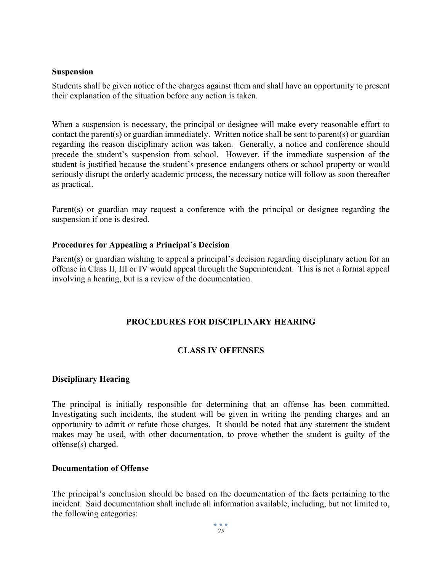#### **Suspension**

Students shall be given notice of the charges against them and shall have an opportunity to present their explanation of the situation before any action is taken.

When a suspension is necessary, the principal or designee will make every reasonable effort to contact the parent(s) or guardian immediately. Written notice shall be sent to parent(s) or guardian regarding the reason disciplinary action was taken. Generally, a notice and conference should precede the student's suspension from school. However, if the immediate suspension of the student is justified because the student's presence endangers others or school property or would seriously disrupt the orderly academic process, the necessary notice will follow as soon thereafter as practical.

Parent(s) or guardian may request a conference with the principal or designee regarding the suspension if one is desired.

#### **Procedures for Appealing a Principal's Decision**

Parent(s) or guardian wishing to appeal a principal's decision regarding disciplinary action for an offense in Class II, III or IV would appeal through the Superintendent. This is not a formal appeal involving a hearing, but is a review of the documentation.

#### **PROCEDURES FOR DISCIPLINARY HEARING**

#### **CLASS IV OFFENSES**

#### **Disciplinary Hearing**

The principal is initially responsible for determining that an offense has been committed. Investigating such incidents, the student will be given in writing the pending charges and an opportunity to admit or refute those charges. It should be noted that any statement the student makes may be used, with other documentation, to prove whether the student is guilty of the offense(s) charged.

#### **Documentation of Offense**

The principal's conclusion should be based on the documentation of the facts pertaining to the incident. Said documentation shall include all information available, including, but not limited to, the following categories: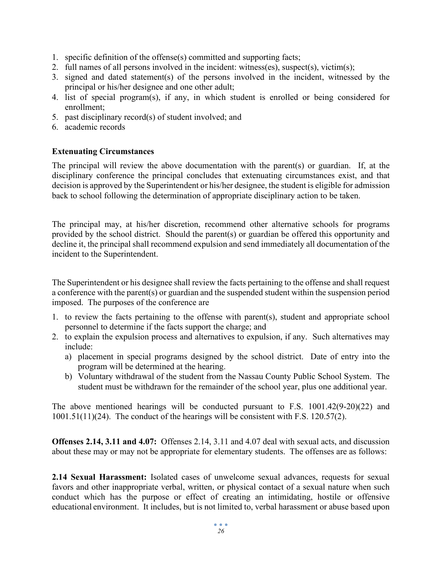- 1. specific definition of the offense(s) committed and supporting facts;
- 2. full names of all persons involved in the incident: witness(es), suspect(s), victim(s);
- 3. signed and dated statement(s) of the persons involved in the incident, witnessed by the principal or his/her designee and one other adult;
- 4. list of special program(s), if any, in which student is enrolled or being considered for enrollment;
- 5. past disciplinary record(s) of student involved; and
- 6. academic records

#### **Extenuating Circumstances**

The principal will review the above documentation with the parent(s) or guardian. If, at the disciplinary conference the principal concludes that extenuating circumstances exist, and that decision is approved by the Superintendent or his/her designee, the student is eligible for admission back to school following the determination of appropriate disciplinary action to be taken.

The principal may, at his/her discretion, recommend other alternative schools for programs provided by the school district. Should the parent(s) or guardian be offered this opportunity and decline it, the principal shall recommend expulsion and send immediately all documentation of the incident to the Superintendent.

The Superintendent or his designee shall review the facts pertaining to the offense and shall request a conference with the parent(s) or guardian and the suspended student within the suspension period imposed. The purposes of the conference are

- 1. to review the facts pertaining to the offense with parent(s), student and appropriate school personnel to determine if the facts support the charge; and
- 2. to explain the expulsion process and alternatives to expulsion, if any. Such alternatives may include:
	- a) placement in special programs designed by the school district. Date of entry into the program will be determined at the hearing.
	- b) Voluntary withdrawal of the student from the Nassau County Public School System. The student must be withdrawn for the remainder of the school year, plus one additional year.

The above mentioned hearings will be conducted pursuant to F.S. 1001.42(9-20)(22) and 1001.51(11)(24). The conduct of the hearings will be consistent with F.S. 120.57(2).

**Offenses 2.14, 3.11 and 4.07:** Offenses 2.14, 3.11 and 4.07 deal with sexual acts, and discussion about these may or may not be appropriate for elementary students. The offenses are as follows:

**2.14 Sexual Harassment:** Isolated cases of unwelcome sexual advances, requests for sexual favors and other inappropriate verbal, written, or physical contact of a sexual nature when such conduct which has the purpose or effect of creating an intimidating, hostile or offensive educational environment. It includes, but is not limited to, verbal harassment or abuse based upon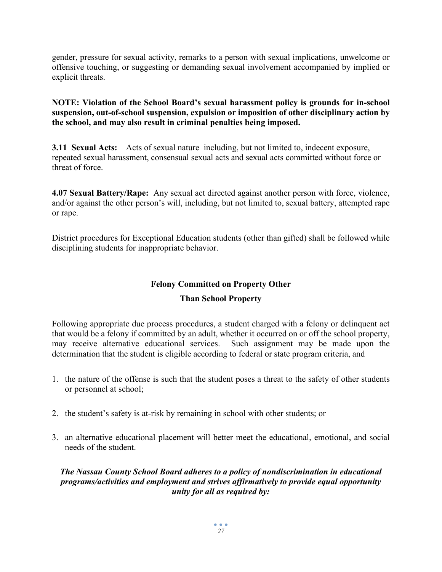gender, pressure for sexual activity, remarks to a person with sexual implications, unwelcome or offensive touching, or suggesting or demanding sexual involvement accompanied by implied or explicit threats.

#### **NOTE: Violation of the School Board's sexual harassment policy is grounds for in-school suspension, out-of-school suspension, expulsion or imposition of other disciplinary action by the school, and may also result in criminal penalties being imposed.**

**3.11 Sexual Acts:** Acts of sexual nature including, but not limited to, indecent exposure, repeated sexual harassment, consensual sexual acts and sexual acts committed without force or threat of force.

**4.07 Sexual Battery/Rape:** Any sexual act directed against another person with force, violence, and/or against the other person's will, including, but not limited to, sexual battery, attempted rape or rape.

District procedures for Exceptional Education students (other than gifted) shall be followed while disciplining students for inappropriate behavior.

## **Felony Committed on Property Other**

## **Than School Property**

Following appropriate due process procedures, a student charged with a felony or delinquent act that would be a felony if committed by an adult, whether it occurred on or off the school property, may receive alternative educational services. Such assignment may be made upon the determination that the student is eligible according to federal or state program criteria, and

- 1. the nature of the offense is such that the student poses a threat to the safety of other students or personnel at school;
- 2. the student's safety is at-risk by remaining in school with other students; or
- 3. an alternative educational placement will better meet the educational, emotional, and social needs of the student.

#### *The Nassau County School Board adheres to a policy of nondiscrimination in educational programs/activities and employment and strives affirmatively to provide equal opportunity unity for all as required by:*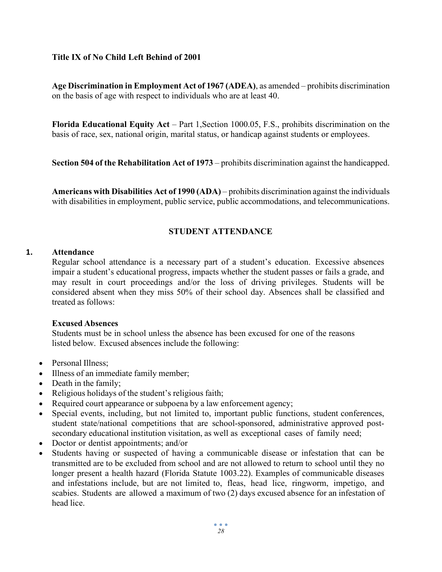#### **Title IX of No Child Left Behind of 2001**

**Age Discrimination in Employment Act of 1967 (ADEA)**, as amended – prohibits discrimination on the basis of age with respect to individuals who are at least 40.

**Florida Educational Equity Act** – Part 1,Section 1000.05, F.S., prohibits discrimination on the basis of race, sex, national origin, marital status, or handicap against students or employees.

**Section 504 of the Rehabilitation Act of 1973** – prohibits discrimination against the handicapped.

**Americans with Disabilities Act of 1990 (ADA)** – prohibits discrimination against the individuals with disabilities in employment, public service, public accommodations, and telecommunications.

#### **STUDENT ATTENDANCE**

#### **1. Attendance**

Regular school attendance is a necessary part of a student's education. Excessive absences impair a student's educational progress, impacts whether the student passes or fails a grade, and may result in court proceedings and/or the loss of driving privileges. Students will be considered absent when they miss 50% of their school day. Absences shall be classified and treated as follows:

#### **Excused Absences**

Students must be in school unless the absence has been excused for one of the reasons listed below. Excused absences include the following:

- Personal Illness;
- Illness of an immediate family member;
- Death in the family;
- Religious holidays of the student's religious faith;
- Required court appearance or subpoena by a law enforcement agency;
- Special events, including, but not limited to, important public functions, student conferences, student state/national competitions that are school-sponsored, administrative approved postsecondary educational institution visitation, as well as exceptional cases of family need;
- Doctor or dentist appointments; and/or
- Students having or suspected of having a communicable disease or infestation that can be transmitted are to be excluded from school and are not allowed to return to school until they no longer present a health hazard (Florida Statute 1003.22). Examples of communicable diseases and infestations include, but are not limited to, fleas, head lice, ringworm, impetigo, and scabies. Students are allowed a maximum of two (2) days excused absence for an infestation of head lice.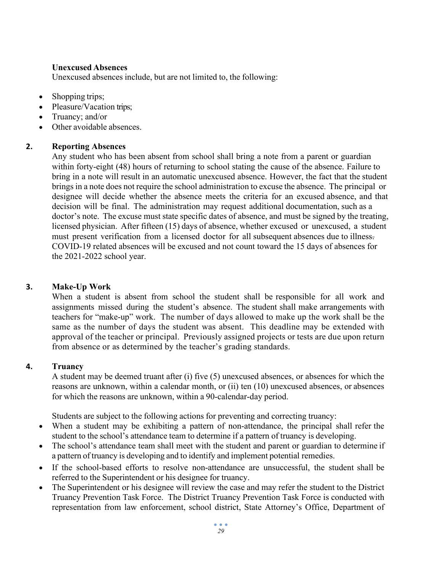#### **Unexcused Absences**

Unexcused absences include, but are not limited to, the following:

- Shopping trips;
- Pleasure/Vacation trips;
- Truancy; and/or
- Other avoidable absences.

#### **2. Reporting Absences**

Any student who has been absent from school shall bring a note from a parent or guardian within forty-eight (48) hours of returning to school stating the cause of the absence. Failure to bring in a note will result in an automatic unexcused absence. However, the fact that the student brings in a note does not require the school administration to excuse the absence. The principal or designee will decide whether the absence meets the criteria for an excused absence, and that decision will be final. The administration may request additional documentation, such as a doctor's note. The excuse must state specific dates of absence, and must be signed by the treating, licensed physician. After fifteen (15) days of absence, whether excused or unexcused, a student must present verification from a licensed doctor for all subsequent absences due to illness. COVID-19 related absences will be excused and not count toward the 15 days of absences for the 2021-2022 school year.

#### **3. Make‐Up Work**

When a student is absent from school the student shall be responsible for all work and assignments missed during the student's absence. The student shall make arrangements with teachers for "make‐up" work. The number of days allowed to make up the work shall be the same as the number of days the student was absent. This deadline may be extended with approval of the teacher or principal. Previously assigned projects or tests are due upon return from absence or as determined by the teacher's grading standards.

#### **4. Truancy**

A student may be deemed truant after (i) five (5) unexcused absences, or absences for which the reasons are unknown, within a calendar month, or (ii) ten (10) unexcused absences, or absences for which the reasons are unknown, within a 90‐calendar‐day period.

Students are subject to the following actions for preventing and correcting truancy:

- When a student may be exhibiting a pattern of non-attendance, the principal shall refer the student to the school's attendance team to determine if a pattern of truancy is developing.
- The school's attendance team shall meet with the student and parent or guardian to determine if a pattern of truancy is developing and to identify and implement potential remedies.
- If the school-based efforts to resolve non-attendance are unsuccessful, the student shall be referred to the Superintendent or his designee for truancy.
- The Superintendent or his designee will review the case and may refer the student to the District Truancy Prevention Task Force. The District Truancy Prevention Task Force is conducted with representation from law enforcement, school district, State Attorney's Office, Department of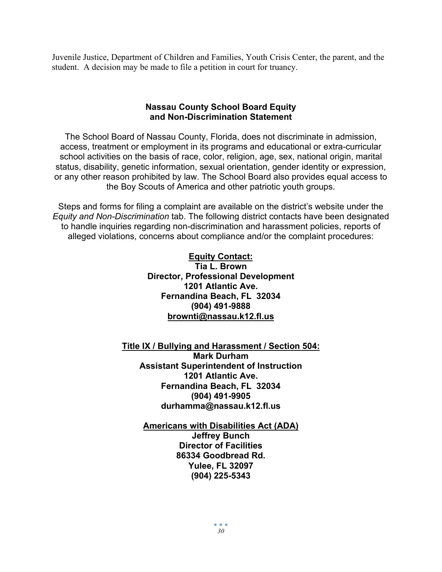Juvenile Justice, Department of Children and Families, Youth Crisis Center, the parent, and the student. A decision may be made to file a petition in court for truancy.

#### **Nassau County School Board Equity and Non-Discrimination Statement**

The School Board of Nassau County, Florida, does not discriminate in admission, access, treatment or employment in its programs and educational or extra-curricular school activities on the basis of race, color, religion, age, sex, national origin, marital status, disability, genetic information, sexual orientation, gender identity or expression, or any other reason prohibited by law. The School Board also provides equal access to the Boy Scouts of America and other patriotic youth groups.

Steps and forms for filing a complaint are available on the district's website under the *Equity and Non-Discrimination* tab. The following district contacts have been designated to handle inquiries regarding non-discrimination and harassment policies, reports of alleged violations, concerns about compliance and/or the complaint procedures:

#### **Equity Contact:**

**Tia L. Brown Director, Professional Development 1201 Atlantic Ave. Fernandina Beach, FL 32034 (904) 491-9888 [brownti@nassau.k12.fl.us](mailto:brownti@nassau.k12.fl.us)**

#### **Title IX / Bullying and Harassment / Section 504: Mark Durham Assistant Superintendent of Instruction 1201 Atlantic Ave. Fernandina Beach, FL 32034 (904) 491-9905 durhamma@nassau.k12.fl.us**

**Americans with Disabilities Act (ADA) Jeffrey Bunch Director of Facilities 86334 Goodbread Rd. Yulee, FL 32097 (904) 225-5343**